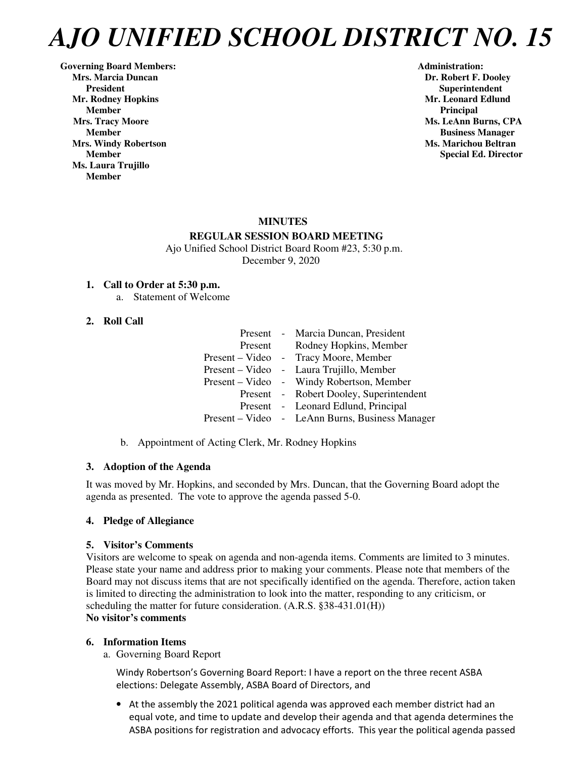Governing Board Members: **Administration: Administration: Administration: Mrs. Marcia Duncan Dr. Robert F. Dooley Dr. Robert F. Dooley President Superintendent in the set of the set of the set of the Superintendent Superintendent in the set of the set of the set of the set of the set of the set of the set of the set of the set of the set of the set of th Mr. Rodney Hopkins and Eduard Eduard Eduard Eduard Eduard Eduard Eduard Eduard Eduard Eduard Eduard Eduard Edu Member** Principal **Principal** *Principal* **Mrs. Tracy Moore** Ms. LeAnn Burns, CPA **Mrs. Windy Robertson Music Community Community Community Community Community Community Community Community Community Community Community Community Community Community Community Community Community Community Community Comm Ms. Laura Trujillo Member** 

 **Member Business Manager Member** Special Ed. Director **Special Ed. Director** 

# **MINUTES REGULAR SESSION BOARD MEETING**

 Ajo Unified School District Board Room #23, 5:30 p.m. December 9, 2020

# **1. Call to Order at 5:30 p.m.**

a. Statement of Welcome

# **2. Roll Call**

|         | Present - Marcia Duncan, President              |
|---------|-------------------------------------------------|
| Present | Rodney Hopkins, Member                          |
|         | Present – Video - Tracy Moore, Member           |
|         | Present – Video - Laura Trujillo, Member        |
|         | Present – Video - Windy Robertson, Member       |
|         | Present - Robert Dooley, Superintendent         |
|         | Present - Leonard Edlund, Principal             |
|         | Present – Video - LeAnn Burns, Business Manager |
|         |                                                 |

b. Appointment of Acting Clerk, Mr. Rodney Hopkins

# **3. Adoption of the Agenda**

It was moved by Mr. Hopkins, and seconded by Mrs. Duncan, that the Governing Board adopt the agenda as presented. The vote to approve the agenda passed 5-0.

# **4. Pledge of Allegiance**

# **5. Visitor's Comments**

Visitors are welcome to speak on agenda and non-agenda items. Comments are limited to 3 minutes. Please state your name and address prior to making your comments. Please note that members of the Board may not discuss items that are not specifically identified on the agenda. Therefore, action taken is limited to directing the administration to look into the matter, responding to any criticism, or scheduling the matter for future consideration. (A.R.S. §38-431.01(H)) **No visitor's comments** 

# **6. Information Items**

a. Governing Board Report

Windy Robertson's Governing Board Report: I have a report on the three recent ASBA elections: Delegate Assembly, ASBA Board of Directors, and

• At the assembly the 2021 political agenda was approved each member district had an equal vote, and time to update and develop their agenda and that agenda determines the ASBA positions for registration and advocacy efforts. This year the political agenda passed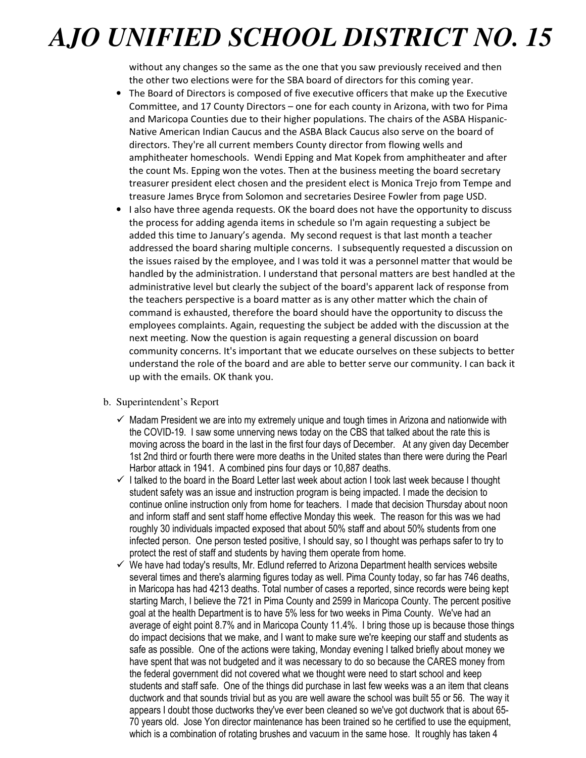without any changes so the same as the one that you saw previously received and then the other two elections were for the SBA board of directors for this coming year.

- The Board of Directors is composed of five executive officers that make up the Executive Committee, and 17 County Directors – one for each county in Arizona, with two for Pima and Maricopa Counties due to their higher populations. The chairs of the ASBA Hispanic-Native American Indian Caucus and the ASBA Black Caucus also serve on the board of directors. They're all current members County director from flowing wells and amphitheater homeschools. Wendi Epping and Mat Kopek from amphitheater and after the count Ms. Epping won the votes. Then at the business meeting the board secretary treasurer president elect chosen and the president elect is Monica Trejo from Tempe and treasure James Bryce from Solomon and secretaries Desiree Fowler from page USD.
- I also have three agenda requests. OK the board does not have the opportunity to discuss the process for adding agenda items in schedule so I'm again requesting a subject be added this time to January's agenda. My second request is that last month a teacher addressed the board sharing multiple concerns. I subsequently requested a discussion on the issues raised by the employee, and I was told it was a personnel matter that would be handled by the administration. I understand that personal matters are best handled at the administrative level but clearly the subject of the board's apparent lack of response from the teachers perspective is a board matter as is any other matter which the chain of command is exhausted, therefore the board should have the opportunity to discuss the employees complaints. Again, requesting the subject be added with the discussion at the next meeting. Now the question is again requesting a general discussion on board community concerns. It's important that we educate ourselves on these subjects to better understand the role of the board and are able to better serve our community. I can back it up with the emails. OK thank you.

# b. Superintendent's Report

- $\checkmark$  Madam President we are into my extremely unique and tough times in Arizona and nationwide with the COVID-19. I saw some unnerving news today on the CBS that talked about the rate this is moving across the board in the last in the first four days of December. At any given day December 1st 2nd third or fourth there were more deaths in the United states than there were during the Pearl Harbor attack in 1941. A combined pins four days or 10,887 deaths.
- $\checkmark$  I talked to the board in the Board Letter last week about action I took last week because I thought student safety was an issue and instruction program is being impacted. I made the decision to continue online instruction only from home for teachers. I made that decision Thursday about noon and inform staff and sent staff home effective Monday this week. The reason for this was we had roughly 30 individuals impacted exposed that about 50% staff and about 50% students from one infected person. One person tested positive, I should say, so I thought was perhaps safer to try to protect the rest of staff and students by having them operate from home.
- $\checkmark$  We have had today's results, Mr. Edlund referred to Arizona Department health services website several times and there's alarming figures today as well. Pima County today, so far has 746 deaths, in Maricopa has had 4213 deaths. Total number of cases a reported, since records were being kept starting March, I believe the 721 in Pima County and 2599 in Maricopa County. The percent positive goal at the health Department is to have 5% less for two weeks in Pima County. We've had an average of eight point 8.7% and in Maricopa County 11.4%. I bring those up is because those things do impact decisions that we make, and I want to make sure we're keeping our staff and students as safe as possible. One of the actions were taking, Monday evening I talked briefly about money we have spent that was not budgeted and it was necessary to do so because the CARES money from the federal government did not covered what we thought were need to start school and keep students and staff safe. One of the things did purchase in last few weeks was a an item that cleans ductwork and that sounds trivial but as you are well aware the school was built 55 or 56. The way it appears I doubt those ductworks they've ever been cleaned so we've got ductwork that is about 65- 70 years old. Jose Yon director maintenance has been trained so he certified to use the equipment, which is a combination of rotating brushes and vacuum in the same hose. It roughly has taken 4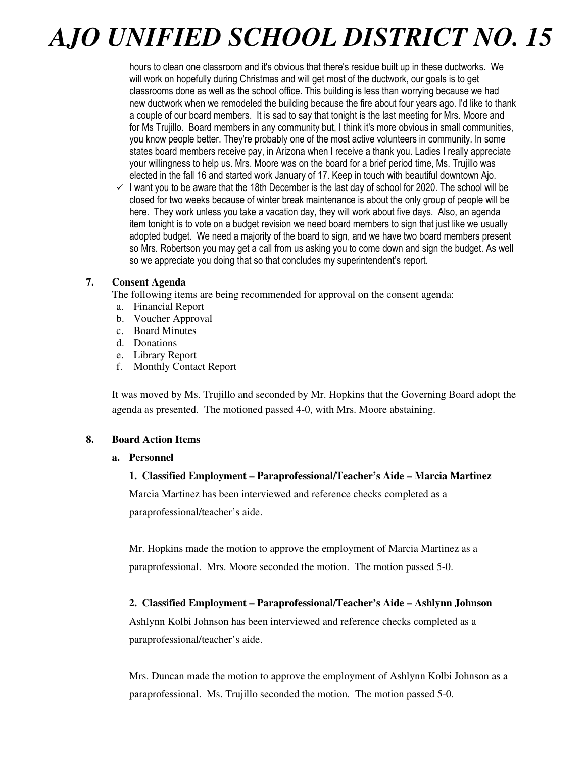hours to clean one classroom and it's obvious that there's residue built up in these ductworks. We will work on hopefully during Christmas and will get most of the ductwork, our goals is to get classrooms done as well as the school office. This building is less than worrying because we had new ductwork when we remodeled the building because the fire about four years ago. I'd like to thank a couple of our board members. It is sad to say that tonight is the last meeting for Mrs. Moore and for Ms Trujillo. Board members in any community but, I think it's more obvious in small communities, you know people better. They're probably one of the most active volunteers in community. In some states board members receive pay, in Arizona when I receive a thank you. Ladies I really appreciate your willingness to help us. Mrs. Moore was on the board for a brief period time, Ms. Trujillo was elected in the fall 16 and started work January of 17. Keep in touch with beautiful downtown Ajo.

 $\checkmark$  I want you to be aware that the 18th December is the last day of school for 2020. The school will be closed for two weeks because of winter break maintenance is about the only group of people will be here. They work unless you take a vacation day, they will work about five days. Also, an agenda item tonight is to vote on a budget revision we need board members to sign that just like we usually adopted budget. We need a majority of the board to sign, and we have two board members present so Mrs. Robertson you may get a call from us asking you to come down and sign the budget. As well so we appreciate you doing that so that concludes my superintendent's report.

# **7. Consent Agenda**

The following items are being recommended for approval on the consent agenda:

- a. Financial Report
- b. Voucher Approval
- c. Board Minutes
- d. Donations
- e. Library Report
- f. Monthly Contact Report

It was moved by Ms. Trujillo and seconded by Mr. Hopkins that the Governing Board adopt the agenda as presented. The motioned passed 4-0, with Mrs. Moore abstaining.

# **8. Board Action Items**

# **a. Personnel**

# **1. Classified Employment – Paraprofessional/Teacher's Aide – Marcia Martinez**

Marcia Martinez has been interviewed and reference checks completed as a

paraprofessional/teacher's aide.

Mr. Hopkins made the motion to approve the employment of Marcia Martinez as a paraprofessional. Mrs. Moore seconded the motion. The motion passed 5-0.

# **2. Classified Employment – Paraprofessional/Teacher's Aide – Ashlynn Johnson**

Ashlynn Kolbi Johnson has been interviewed and reference checks completed as a paraprofessional/teacher's aide.

Mrs. Duncan made the motion to approve the employment of Ashlynn Kolbi Johnson as a paraprofessional. Ms. Trujillo seconded the motion. The motion passed 5-0.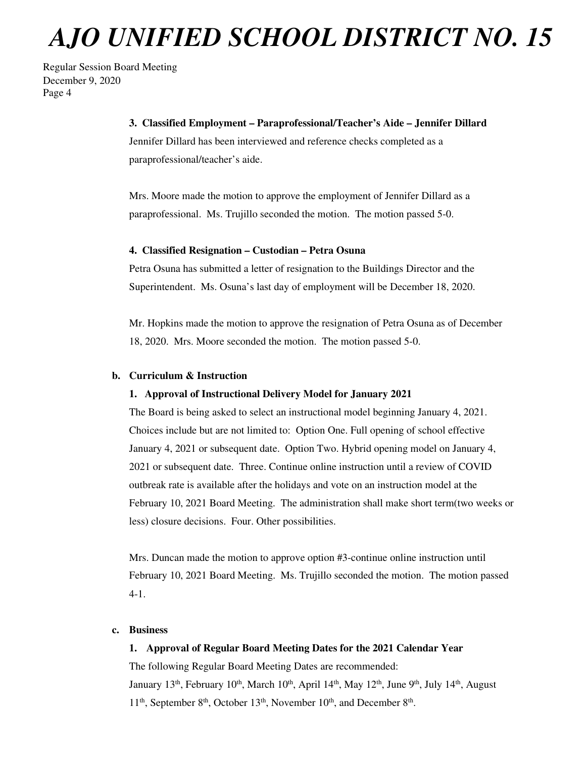Regular Session Board Meeting December 9, 2020 Page 4

#### **3. Classified Employment – Paraprofessional/Teacher's Aide – Jennifer Dillard**

Jennifer Dillard has been interviewed and reference checks completed as a paraprofessional/teacher's aide.

Mrs. Moore made the motion to approve the employment of Jennifer Dillard as a paraprofessional. Ms. Trujillo seconded the motion. The motion passed 5-0.

#### **4. Classified Resignation – Custodian – Petra Osuna**

Petra Osuna has submitted a letter of resignation to the Buildings Director and the Superintendent. Ms. Osuna's last day of employment will be December 18, 2020.

Mr. Hopkins made the motion to approve the resignation of Petra Osuna as of December 18, 2020. Mrs. Moore seconded the motion. The motion passed 5-0.

# **b. Curriculum & Instruction**

# **1. Approval of Instructional Delivery Model for January 2021**

The Board is being asked to select an instructional model beginning January 4, 2021. Choices include but are not limited to: Option One. Full opening of school effective January 4, 2021 or subsequent date. Option Two. Hybrid opening model on January 4, 2021 or subsequent date. Three. Continue online instruction until a review of COVID outbreak rate is available after the holidays and vote on an instruction model at the February 10, 2021 Board Meeting. The administration shall make short term(two weeks or less) closure decisions. Four. Other possibilities.

Mrs. Duncan made the motion to approve option #3-continue online instruction until February 10, 2021 Board Meeting. Ms. Trujillo seconded the motion. The motion passed 4-1.

#### **c. Business**

# **1. Approval of Regular Board Meeting Dates for the 2021 Calendar Year**

The following Regular Board Meeting Dates are recommended: January 13<sup>th</sup>, February 10<sup>th</sup>, March 10<sup>th</sup>, April 14<sup>th</sup>, May 12<sup>th</sup>, June 9<sup>th</sup>, July 14<sup>th</sup>, August  $11<sup>th</sup>$ , September  $8<sup>th</sup>$ , October  $13<sup>th</sup>$ , November  $10<sup>th</sup>$ , and December  $8<sup>th</sup>$ .